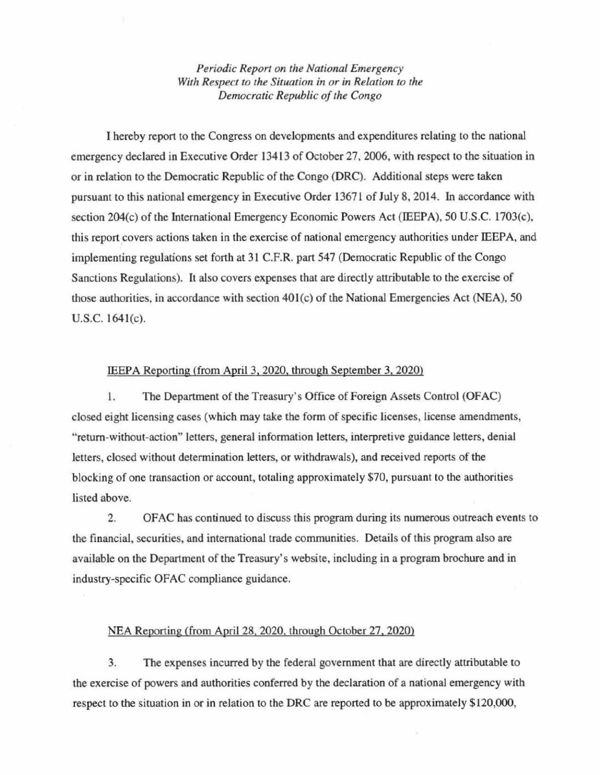*Periodic Report on the NalionaL Emergency With Respect to the Situation in or in Relation to the Democratic RepubLic 0/ the Congo* 

1 hereby report (0 the Congress 00 developments and expenditures relating (0 the national emergency declared in Executive Order 13413 of October 27, 2006, with respect to the situation in or in relation to the Democratic Republic of the Congo (DRC). Additional steps were taken pursuant to this national emergency in Executive Order 13671 of July 8, 2014. In accordance with section 204 $(c)$  of the International Emergency Economic Powers Act (IEEPA), 50 U.S.C. 1703 $(c)$ , this report covers actions taken in the exercise of national emergency authorities under IEEPA, and implementing regulations set forth at 31 C.F.R. part 547 (Democratic Republic of the Congo Sanctions Regulations). It also covers expenses that are directly attributable to the exercise of those authorities, in accordance with section  $401(c)$  of the National Emergencies Act (NEA), 50  $U.S.C. 1641(c)$ .

## IEEPA Reporting (from April 3, 2020, through September 3,2020)

1. The Department of the Treasury's Office of Foreign Assets Control (OFAC) closed eight licensing cases (which may take the form of specific licenses, license amendments, "retum-without-action" 1etters, general information letters, interpretive guidance letters, denial letters, closed without determination letters, or withdrawals), and received reports of the blocking of one transaction or account, totaling approximately \$70, pursuant to the authorities listed above.

2. OFAC has continued to discuss this program during its numerous outreach events to the financial, securities, and international trade communities. Details of this program also are available on the Department of the Treasury's website, including in a program brochure and in industry-specific OFAC compliance guidance.

## NEA Reporting (from April 28, 2020, through October 27, 2020)

3. The expenses incurred by the federal govemment that are directly attributable to the exercjse of powers and authorities conferred by the declaration of a national emergency with respect to the situation in or in relation to the DRC are reported to be approximately \$120,000,